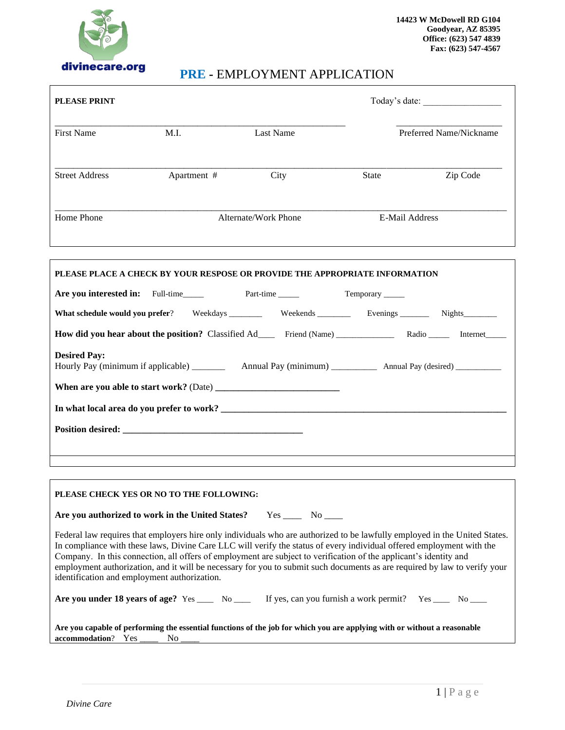

## **PRE -** EMPLOYMENT APPLICATION

| <b>PLEASE PRINT</b>                                                                                                                                                                                                                                                                                                                                                                                                                                                                                                                                   |                                        |                        |                 |                                                                                                       |  |  |
|-------------------------------------------------------------------------------------------------------------------------------------------------------------------------------------------------------------------------------------------------------------------------------------------------------------------------------------------------------------------------------------------------------------------------------------------------------------------------------------------------------------------------------------------------------|----------------------------------------|------------------------|-----------------|-------------------------------------------------------------------------------------------------------|--|--|
| <b>First Name</b>                                                                                                                                                                                                                                                                                                                                                                                                                                                                                                                                     | M.I.                                   | <b>Last Name</b>       |                 | Preferred Name/Nickname                                                                               |  |  |
| <b>Street Address</b>                                                                                                                                                                                                                                                                                                                                                                                                                                                                                                                                 | Apartment #                            | City                   | <b>State</b>    | Zip Code                                                                                              |  |  |
| Home Phone                                                                                                                                                                                                                                                                                                                                                                                                                                                                                                                                            | E-Mail Address<br>Alternate/Work Phone |                        |                 |                                                                                                       |  |  |
| PLEASE PLACE A CHECK BY YOUR RESPOSE OR PROVIDE THE APPROPRIATE INFORMATION                                                                                                                                                                                                                                                                                                                                                                                                                                                                           |                                        |                        |                 |                                                                                                       |  |  |
| Are you interested in: Full-time Part-time                                                                                                                                                                                                                                                                                                                                                                                                                                                                                                            |                                        |                        | Temporary _____ |                                                                                                       |  |  |
|                                                                                                                                                                                                                                                                                                                                                                                                                                                                                                                                                       |                                        |                        |                 | What schedule would you prefer? Weekdays _________ Weekends _________ Evenings _______ Nights _______ |  |  |
|                                                                                                                                                                                                                                                                                                                                                                                                                                                                                                                                                       |                                        |                        |                 |                                                                                                       |  |  |
| <b>Desired Pay:</b>                                                                                                                                                                                                                                                                                                                                                                                                                                                                                                                                   |                                        |                        |                 |                                                                                                       |  |  |
|                                                                                                                                                                                                                                                                                                                                                                                                                                                                                                                                                       |                                        |                        |                 |                                                                                                       |  |  |
|                                                                                                                                                                                                                                                                                                                                                                                                                                                                                                                                                       |                                        |                        |                 |                                                                                                       |  |  |
|                                                                                                                                                                                                                                                                                                                                                                                                                                                                                                                                                       |                                        |                        |                 |                                                                                                       |  |  |
| PLEASE CHECK YES OR NO TO THE FOLLOWING:                                                                                                                                                                                                                                                                                                                                                                                                                                                                                                              |                                        |                        |                 |                                                                                                       |  |  |
| Are you authorized to work in the United States?                                                                                                                                                                                                                                                                                                                                                                                                                                                                                                      |                                        | $Yes \_\_\_ No \_\_\_$ |                 |                                                                                                       |  |  |
| Federal law requires that employers hire only individuals who are authorized to be lawfully employed in the United States.<br>In compliance with these laws, Divine Care LLC will verify the status of every individual offered employment with the<br>Company. In this connection, all offers of employment are subject to verification of the applicant's identity and<br>employment authorization, and it will be necessary for you to submit such documents as are required by law to verify your<br>identification and employment authorization. |                                        |                        |                 |                                                                                                       |  |  |
| Are you under 18 years of age? Yes $\_\_\_\_$ No $\_\_\_\$ If yes, can you furnish a work permit? Yes $\_\_\_\_\$ No $\_\_\_\_\$                                                                                                                                                                                                                                                                                                                                                                                                                      |                                        |                        |                 |                                                                                                       |  |  |
| Are you capable of performing the essential functions of the job for which you are applying with or without a reasonable<br>accommodation? Yes ____<br>No                                                                                                                                                                                                                                                                                                                                                                                             |                                        |                        |                 |                                                                                                       |  |  |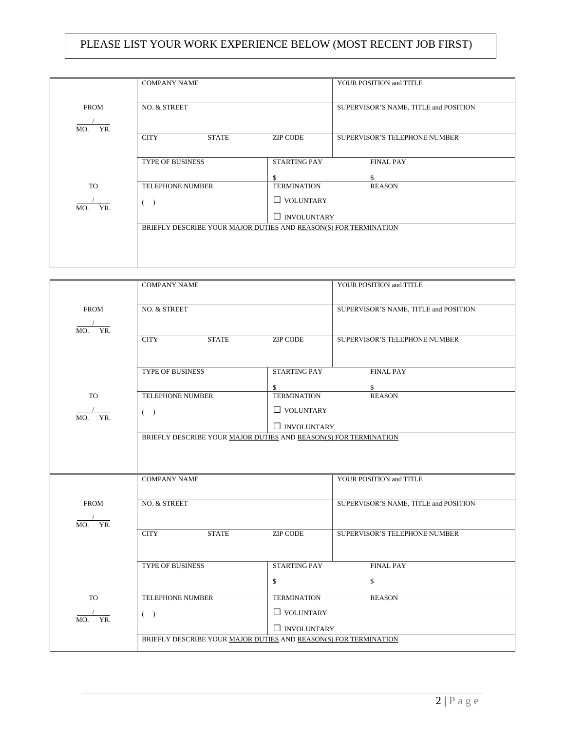# 2 | P a g e

| PLEASE LIST YOUR WORK EXPERIENCE BELOW (MOST RECENT JOB FIRST) |
|----------------------------------------------------------------|
|----------------------------------------------------------------|

|             | <b>COMPANY NAME</b>                                              |                     | YOUR POSITION and TITLE               |  |
|-------------|------------------------------------------------------------------|---------------------|---------------------------------------|--|
|             |                                                                  |                     |                                       |  |
| <b>FROM</b> | NO. & STREET                                                     |                     | SUPERVISOR'S NAME, TITLE and POSITION |  |
| YR.<br>MO.  |                                                                  |                     |                                       |  |
|             | <b>CITY</b><br><b>STATE</b>                                      | <b>ZIP CODE</b>     | <b>SUPERVISOR'S TELEPHONE NUMBER</b>  |  |
|             | <b>TYPE OF BUSINESS</b>                                          | <b>STARTING PAY</b> | <b>FINAL PAY</b>                      |  |
|             |                                                                  | \$                  | \$.                                   |  |
| <b>TO</b>   | <b>TELEPHONE NUMBER</b>                                          | <b>TERMINATION</b>  | <b>REASON</b>                         |  |
| YR.<br>MO.  | $\rightarrow$                                                    | $\Box$ VOLUNTARY    |                                       |  |
|             | $\Box$ INVOLUNTARY                                               |                     |                                       |  |
|             | BRIEFLY DESCRIBE YOUR MAJOR DUTIES AND REASON(S) FOR TERMINATION |                     |                                       |  |
|             |                                                                  |                     |                                       |  |
|             |                                                                  |                     |                                       |  |
|             |                                                                  |                     |                                       |  |

|                           | <b>COMPANY NAME</b>                                              |                          | YOUR POSITION and TITLE               |
|---------------------------|------------------------------------------------------------------|--------------------------|---------------------------------------|
| <b>FROM</b><br>YR.<br>MO. | NO. & STREET                                                     |                          | SUPERVISOR'S NAME, TITLE and POSITION |
|                           | <b>CITY</b><br><b>STATE</b>                                      | <b>ZIP CODE</b>          | SUPERVISOR'S TELEPHONE NUMBER         |
|                           | <b>TYPE OF BUSINESS</b>                                          | <b>STARTING PAY</b>      | <b>FINAL PAY</b>                      |
| <b>TO</b>                 | TELEPHONE NUMBER                                                 | \$<br><b>TERMINATION</b> | \$<br><b>REASON</b>                   |
| YR.                       | $($ )                                                            | $\hfill\Box$ VOLUNTARY   |                                       |
| MO.                       |                                                                  | $\Box$ INVOLUNTARY       |                                       |
|                           | BRIEFLY DESCRIBE YOUR MAJOR DUTIES AND REASON(S) FOR TERMINATION |                          |                                       |
|                           |                                                                  |                          |                                       |
|                           | <b>COMPANY NAME</b>                                              |                          | YOUR POSITION and TITLE               |
| <b>FROM</b><br>YR.<br>MO. | NO. & STREET                                                     |                          | SUPERVISOR'S NAME, TITLE and POSITION |
|                           | <b>CITY</b><br><b>STATE</b>                                      | <b>ZIP CODE</b>          | SUPERVISOR'S TELEPHONE NUMBER         |
|                           | <b>TYPE OF BUSINESS</b>                                          | <b>STARTING PAY</b>      | <b>FINAL PAY</b>                      |
|                           |                                                                  | \$                       | \$                                    |
| <b>TO</b>                 | TELEPHONE NUMBER                                                 | <b>TERMINATION</b>       | <b>REASON</b>                         |
| YR.<br>MO.                | $($ )                                                            | $\Box$ VOLUNTARY         |                                       |
|                           | $\Box$ INVOLUNTARY                                               |                          |                                       |
|                           | BRIEFLY DESCRIBE YOUR MAJOR DUTIES AND REASON(S) FOR TERMINATION |                          |                                       |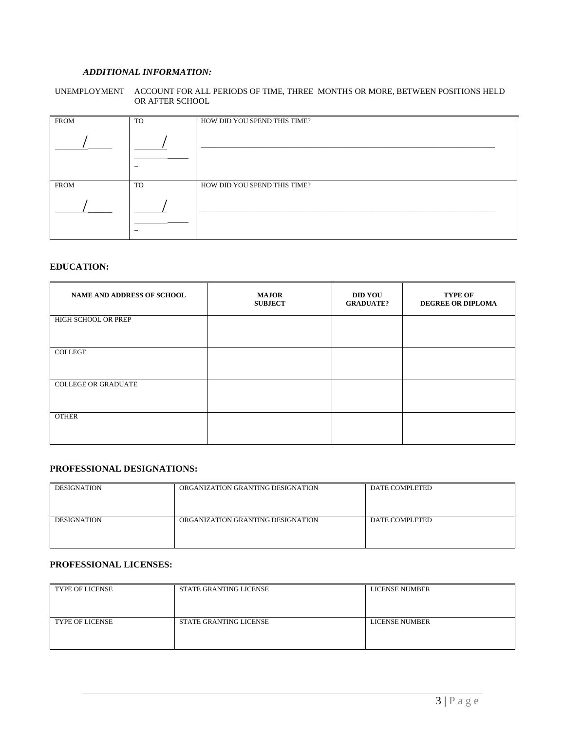#### *ADDITIONAL INFORMATION:*

#### UNEMPLOYMENT ACCOUNT FOR ALL PERIODS OF TIME, THREE MONTHS OR MORE, BETWEEN POSITIONS HELD OR AFTER SCHOOL

| <b>FROM</b> | TO | HOW DID YOU SPEND THIS TIME? |
|-------------|----|------------------------------|
|             |    |                              |
|             |    |                              |
| <b>FROM</b> | TO | HOW DID YOU SPEND THIS TIME? |
|             |    |                              |
|             |    |                              |

#### **EDUCATION:**

| <b>NAME AND ADDRESS OF SCHOOL</b> | <b>MAJOR</b><br><b>SUBJECT</b> | <b>DID YOU</b><br><b>GRADUATE?</b> | <b>TYPE OF</b><br><b>DEGREE OR DIPLOMA</b> |
|-----------------------------------|--------------------------------|------------------------------------|--------------------------------------------|
| HIGH SCHOOL OR PREP               |                                |                                    |                                            |
| <b>COLLEGE</b>                    |                                |                                    |                                            |
| <b>COLLEGE OR GRADUATE</b>        |                                |                                    |                                            |
| <b>OTHER</b>                      |                                |                                    |                                            |

#### **PROFESSIONAL DESIGNATIONS:**

| <b>DESIGNATION</b> | ORGANIZATION GRANTING DESIGNATION | DATE COMPLETED |
|--------------------|-----------------------------------|----------------|
| <b>DESIGNATION</b> | ORGANIZATION GRANTING DESIGNATION | DATE COMPLETED |

#### **PROFESSIONAL LICENSES:**

| <b>TYPE OF LICENSE</b> | <b>STATE GRANTING LICENSE</b> | <b>LICENSE NUMBER</b> |
|------------------------|-------------------------------|-----------------------|
| <b>TYPE OF LICENSE</b> | <b>STATE GRANTING LICENSE</b> | <b>LICENSE NUMBER</b> |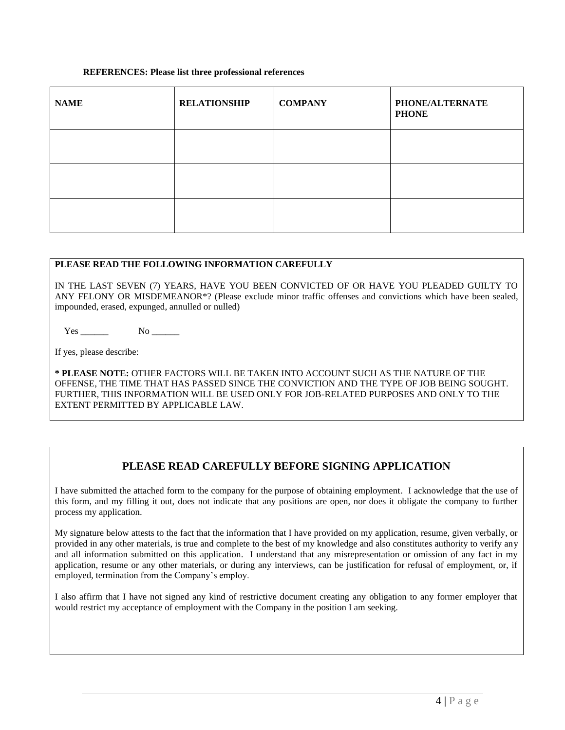#### **REFERENCES: Please list three professional references**

| <b>NAME</b> | <b>RELATIONSHIP</b> | <b>COMPANY</b> | PHONE/ALTERNATE<br><b>PHONE</b> |
|-------------|---------------------|----------------|---------------------------------|
|             |                     |                |                                 |
|             |                     |                |                                 |
|             |                     |                |                                 |

#### **PLEASE READ THE FOLLOWING INFORMATION CAREFULLY**

IN THE LAST SEVEN (7) YEARS, HAVE YOU BEEN CONVICTED OF OR HAVE YOU PLEADED GUILTY TO ANY FELONY OR MISDEMEANOR\*? (Please exclude minor traffic offenses and convictions which have been sealed, impounded, erased, expunged, annulled or nulled)

Yes No

If yes, please describe:

**\* PLEASE NOTE:** OTHER FACTORS WILL BE TAKEN INTO ACCOUNT SUCH AS THE NATURE OF THE OFFENSE, THE TIME THAT HAS PASSED SINCE THE CONVICTION AND THE TYPE OF JOB BEING SOUGHT. FURTHER, THIS INFORMATION WILL BE USED ONLY FOR JOB-RELATED PURPOSES AND ONLY TO THE EXTENT PERMITTED BY APPLICABLE LAW.

### **PLEASE READ CAREFULLY BEFORE SIGNING APPLICATION**

I have submitted the attached form to the company for the purpose of obtaining employment. I acknowledge that the use of this form, and my filling it out, does not indicate that any positions are open, nor does it obligate the company to further process my application.

My signature below attests to the fact that the information that I have provided on my application, resume, given verbally, or provided in any other materials, is true and complete to the best of my knowledge and also constitutes authority to verify any and all information submitted on this application. I understand that any misrepresentation or omission of any fact in my application, resume or any other materials, or during any interviews, can be justification for refusal of employment, or, if employed, termination from the Company's employ.

I also affirm that I have not signed any kind of restrictive document creating any obligation to any former employer that would restrict my acceptance of employment with the Company in the position I am seeking.